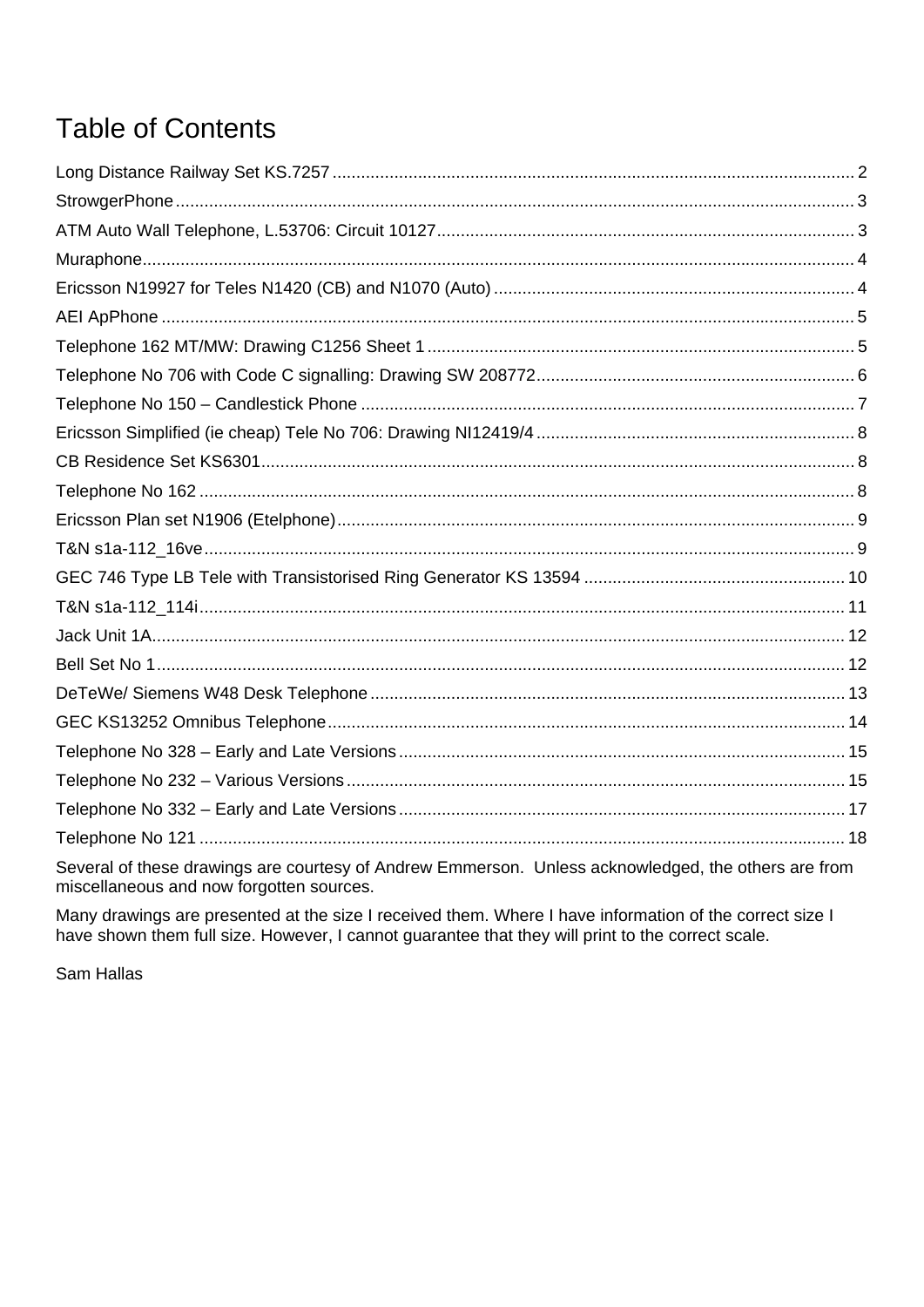# **Table of Contents**

| Several of these drawings are courtesy of Andrew Emmerson. Unless acknowledged, the others are from |  |
|-----------------------------------------------------------------------------------------------------|--|

Several of these drawings are courtesy of Andrew Emmerson. Unless acknowledged, the others are from miscellaneous and now forgotten sources.

Many drawings are presented at the size I received them. Where I have information of the correct size I have shown them full size. However, I cannot guarantee that they will print to the correct scale.

Sam Hallas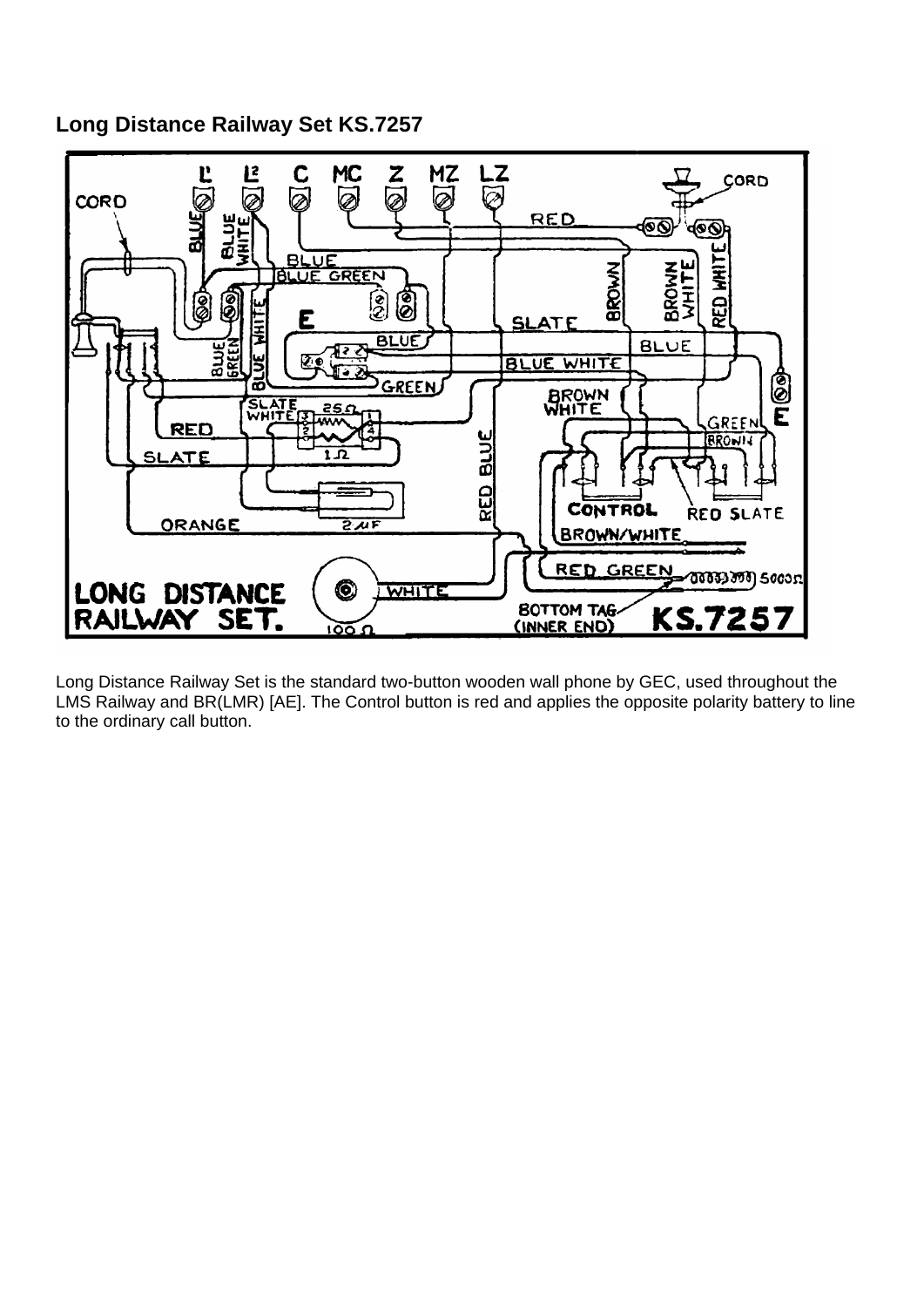<span id="page-1-0"></span>**Long Distance Railway Set KS.7257** 



Long Distance Railway Set is the standard two-button wooden wall phone by GEC, used throughout the LMS Railway and BR(LMR) [AE]. The Control button is red and applies the opposite polarity battery to line to the ordinary call button.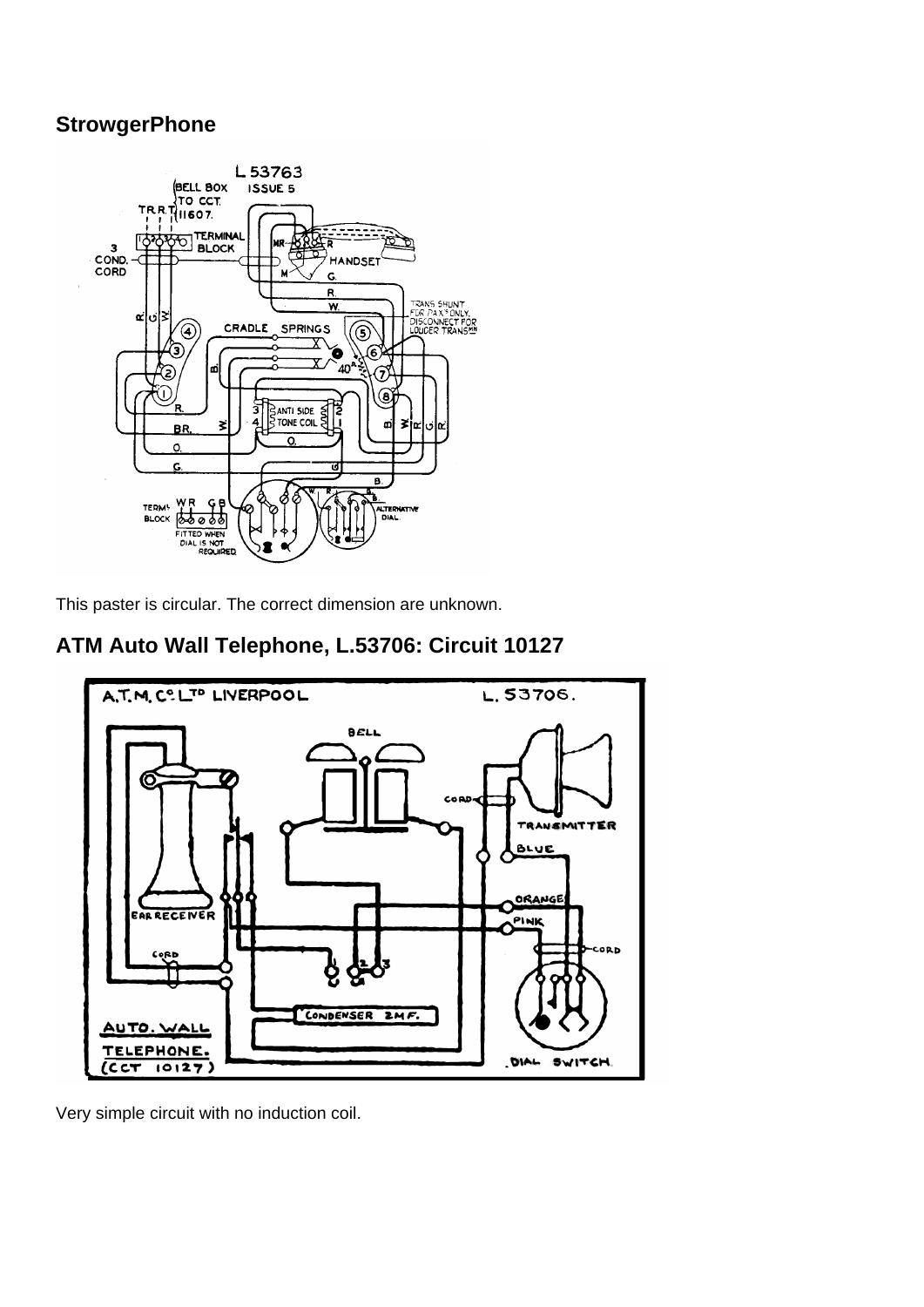#### <span id="page-2-0"></span>**StrowgerPhone**



This paster is circular. The correct dimension are unknown.

### **ATM Auto Wall Telephone, L.53706: Circuit 10127**



Very simple circuit with no induction coil.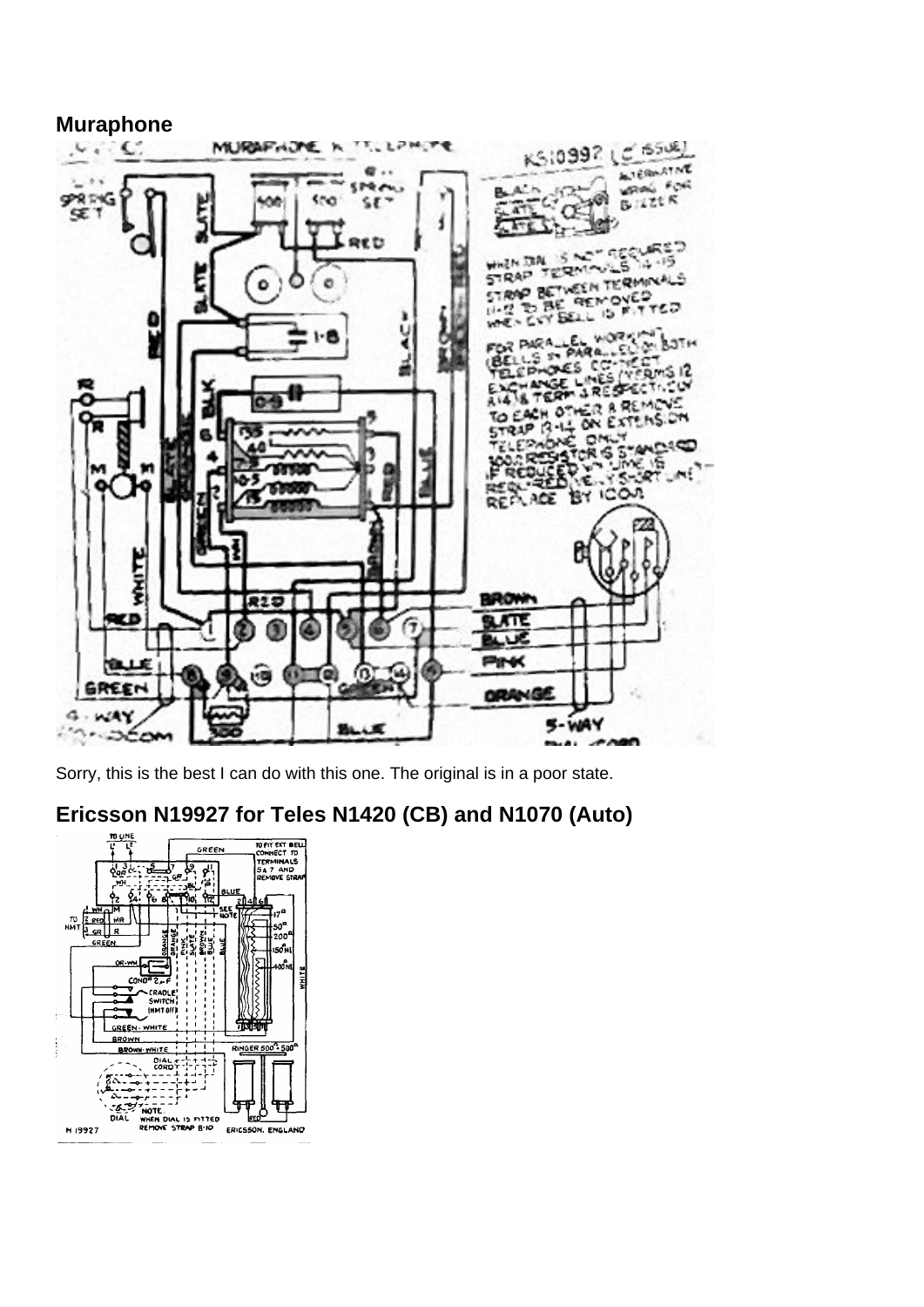<span id="page-3-0"></span>

Sorry, this is the best I can do with this one. The original is in a poor state.

## **Ericsson N19927 for Teles N1420 (CB) and N1070 (Auto)**

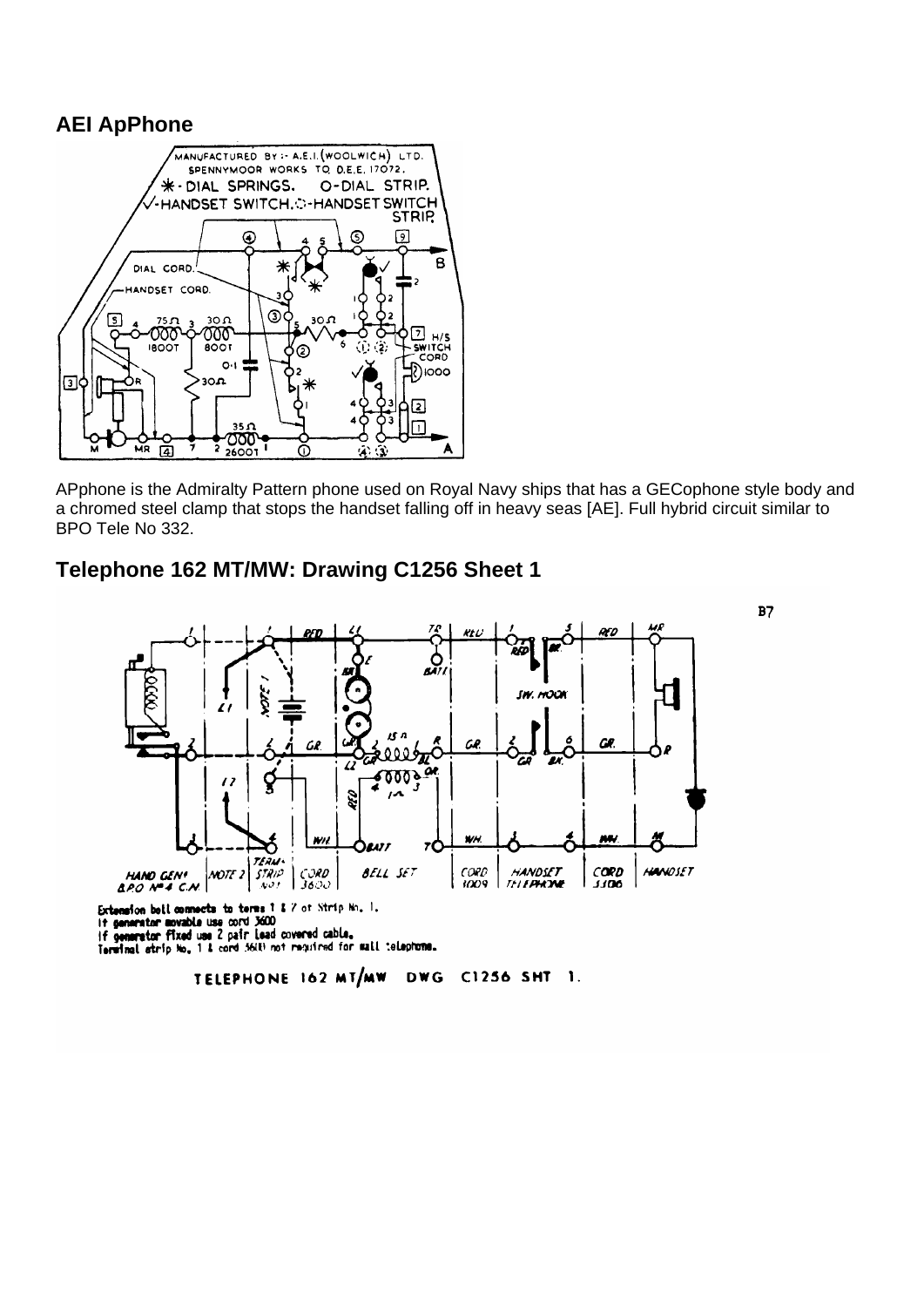#### <span id="page-4-0"></span>**AEI ApPhone**



APphone is the Admiralty Pattern phone used on Royal Navy ships that has a GECophone style body and a chromed steel clamp that stops the handset falling off in heavy seas [AE]. Full hybrid circuit similar to BPO Tele No 332.



**Telephone 162 MT/MW: Drawing C1256 Sheet 1** 

C1256 SHT 1. TELEPHONE 162 MT/MW **DWG**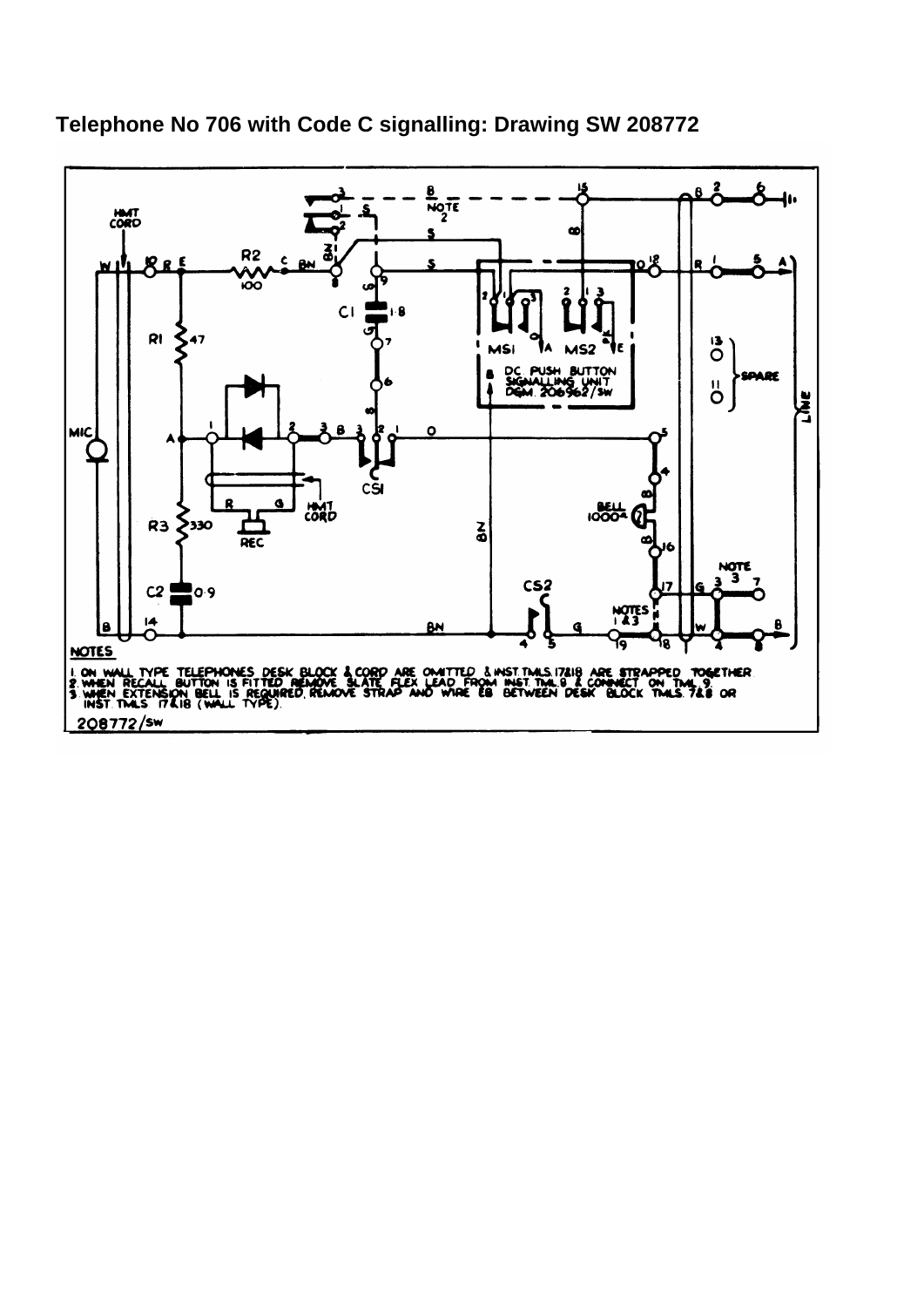

<span id="page-5-0"></span>**Telephone No 706 with Code C signalling: Drawing SW 208772**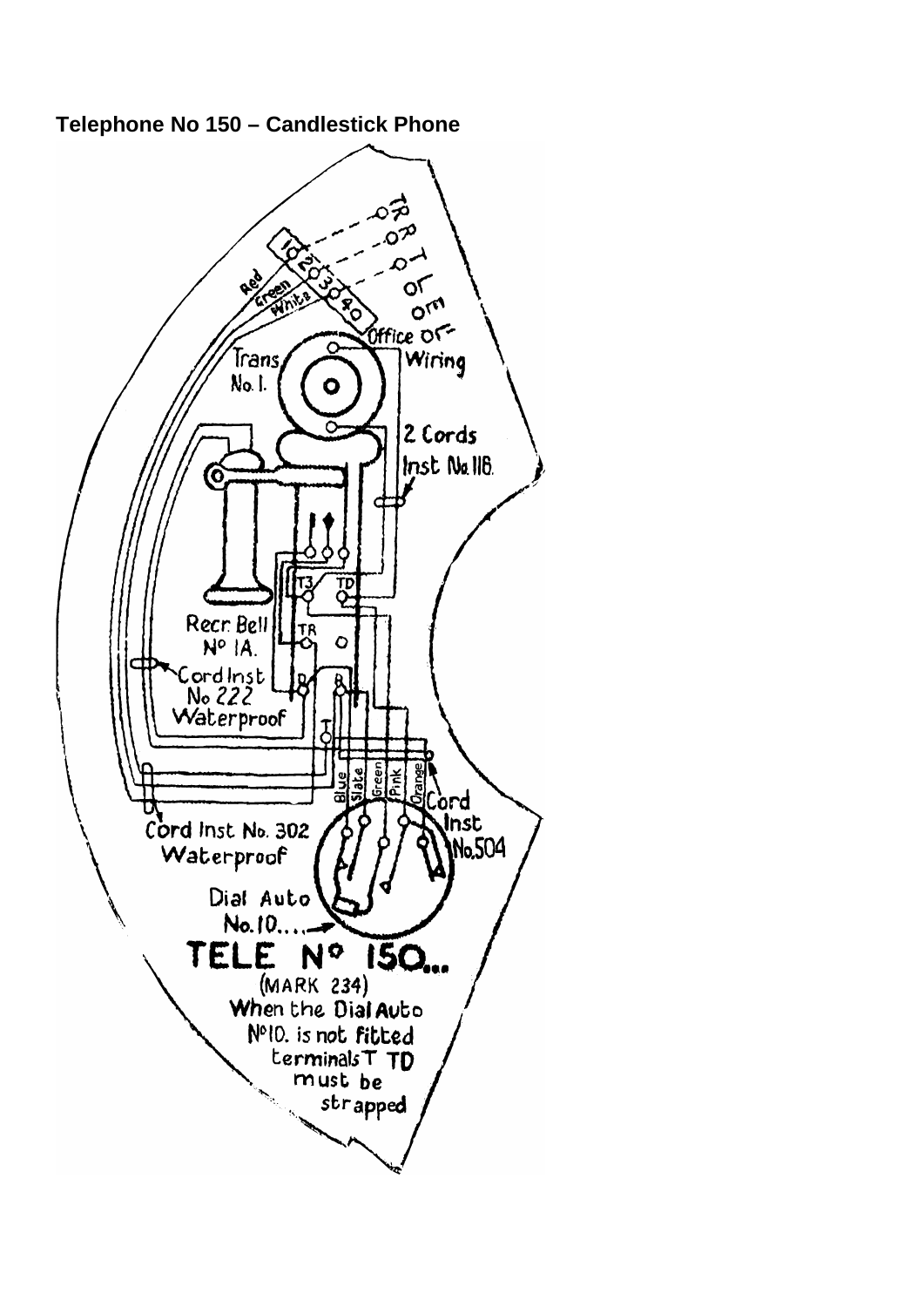

<span id="page-6-0"></span>**Telephone No 150 – Candlestick Phone**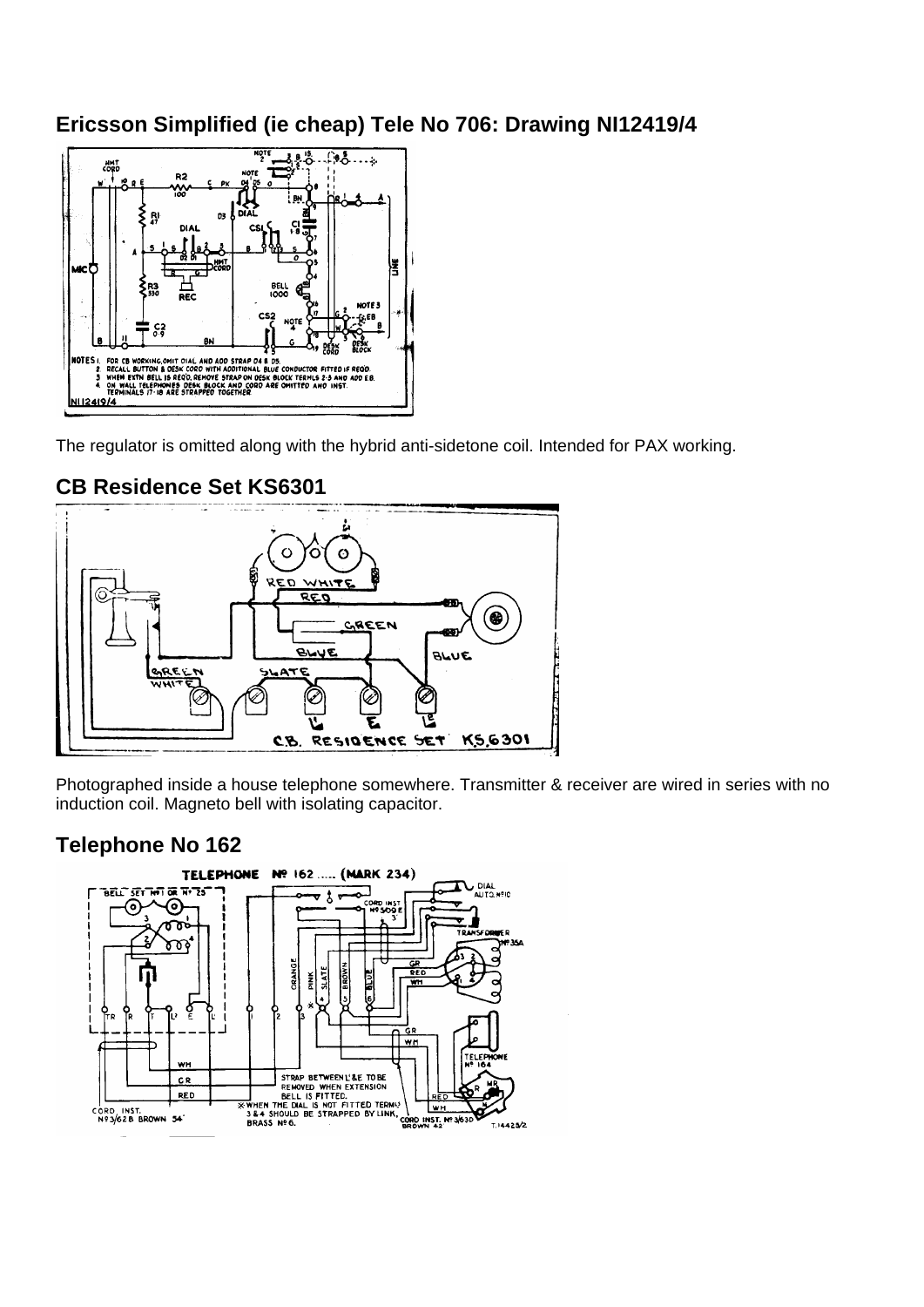#### <span id="page-7-0"></span>**Ericsson Simplified (ie cheap) Tele No 706: Drawing NI12419/4**



The regulator is omitted along with the hybrid anti-sidetone coil. Intended for PAX working.



#### **CB Residence Set KS6301**

Photographed inside a house telephone somewhere. Transmitter & receiver are wired in series with no induction coil. Magneto bell with isolating capacitor.

#### **Telephone No 162**

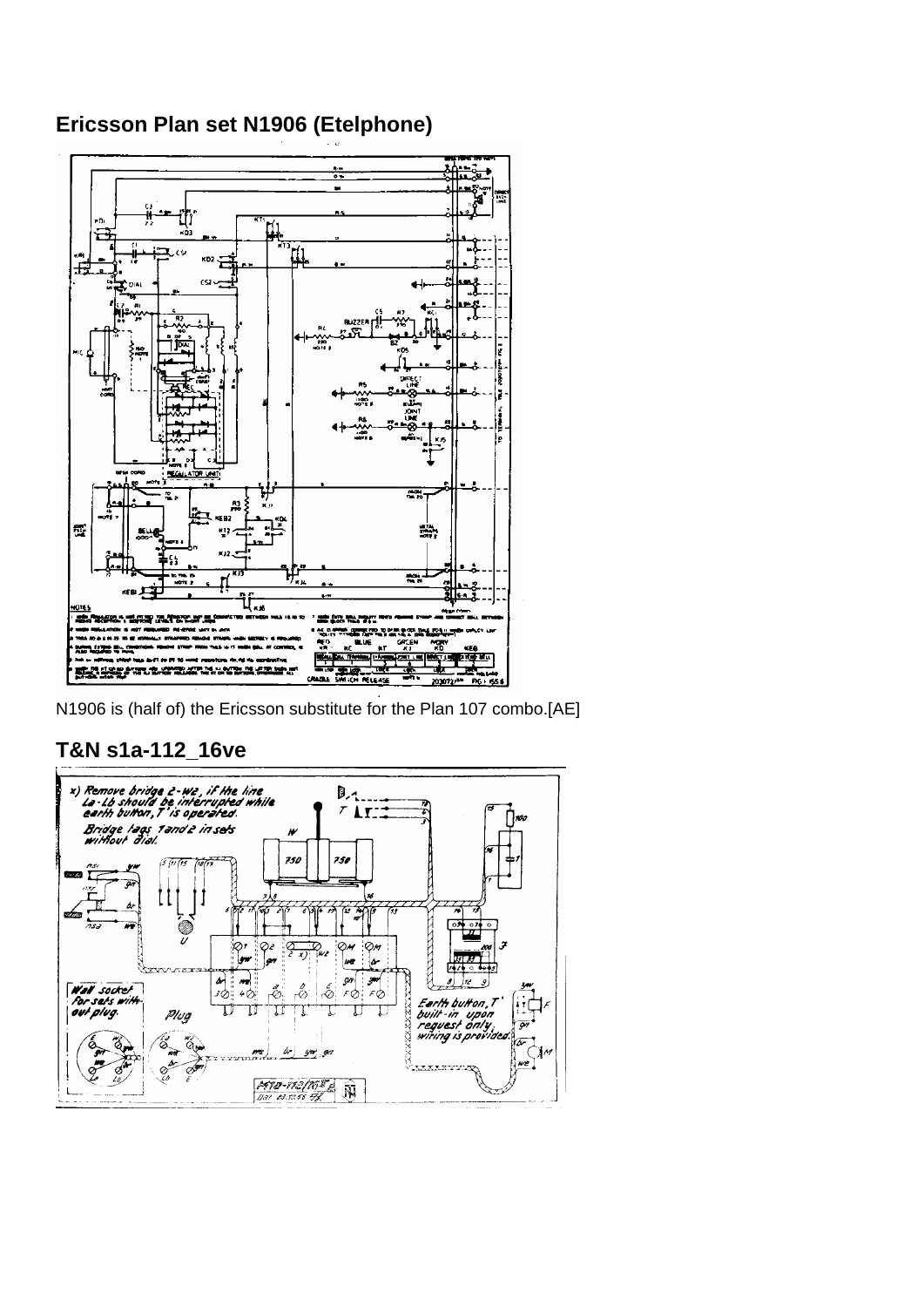#### <span id="page-8-0"></span>Ericsson Plan set N1906 (Etelphone)



N1906 is (half of) the Ericsson substitute for the Plan 107 combo. [AE]

#### T&N s1a-112\_16ve

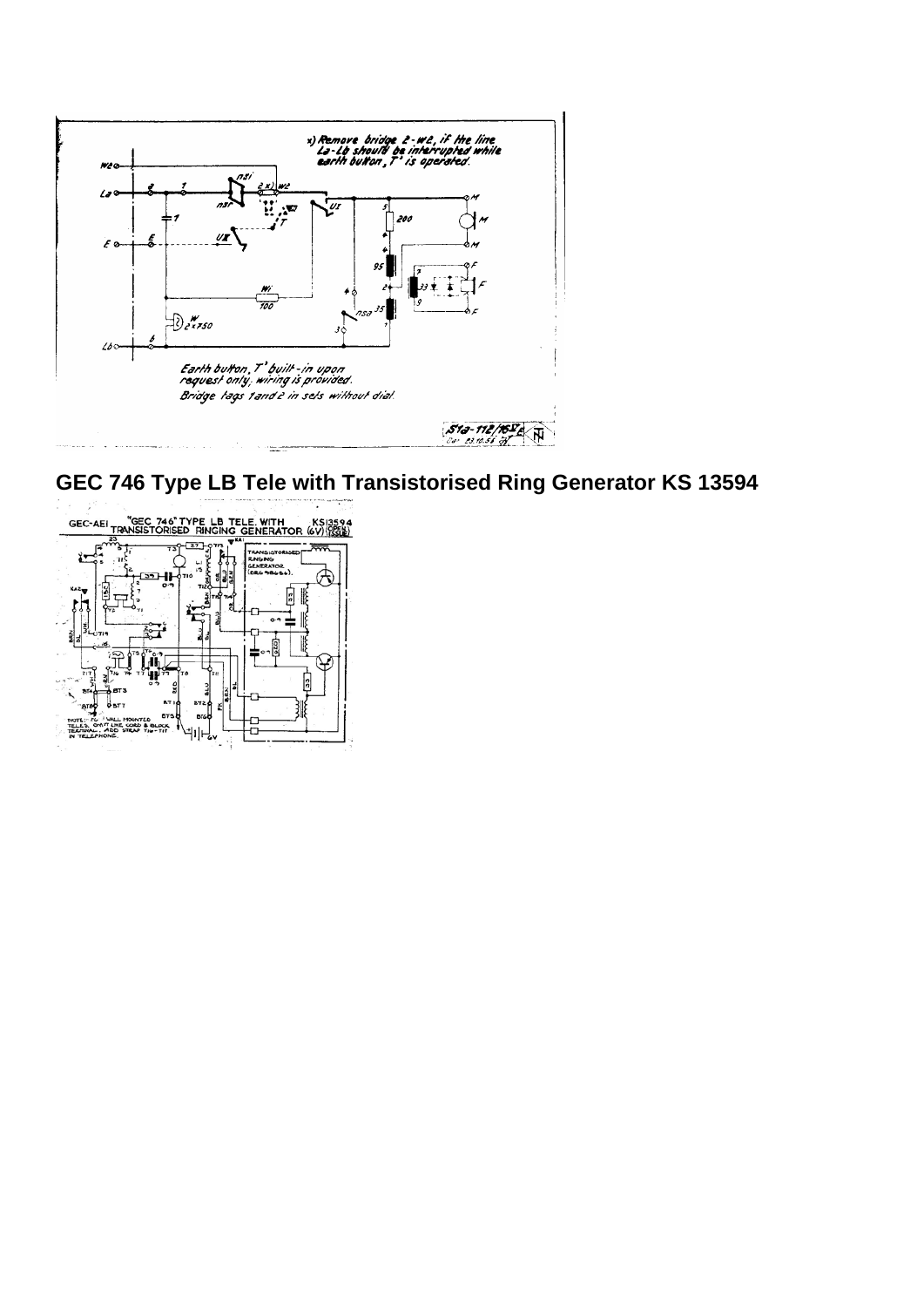<span id="page-9-0"></span>

**GEC 746 Type LB Tele with Transistorised Ring Generator KS 13594** 

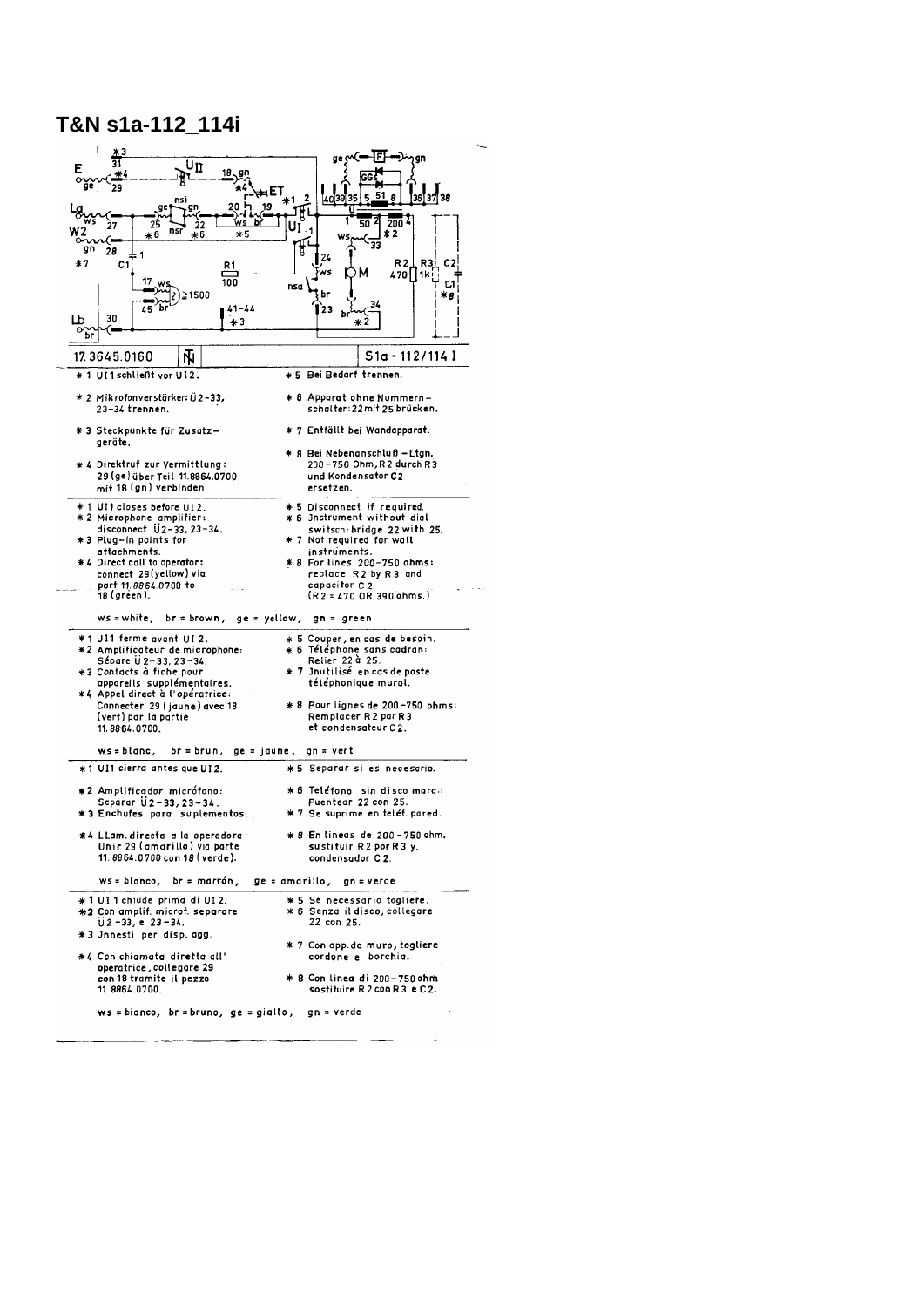#### <span id="page-10-0"></span>T&N s1a-112 114i

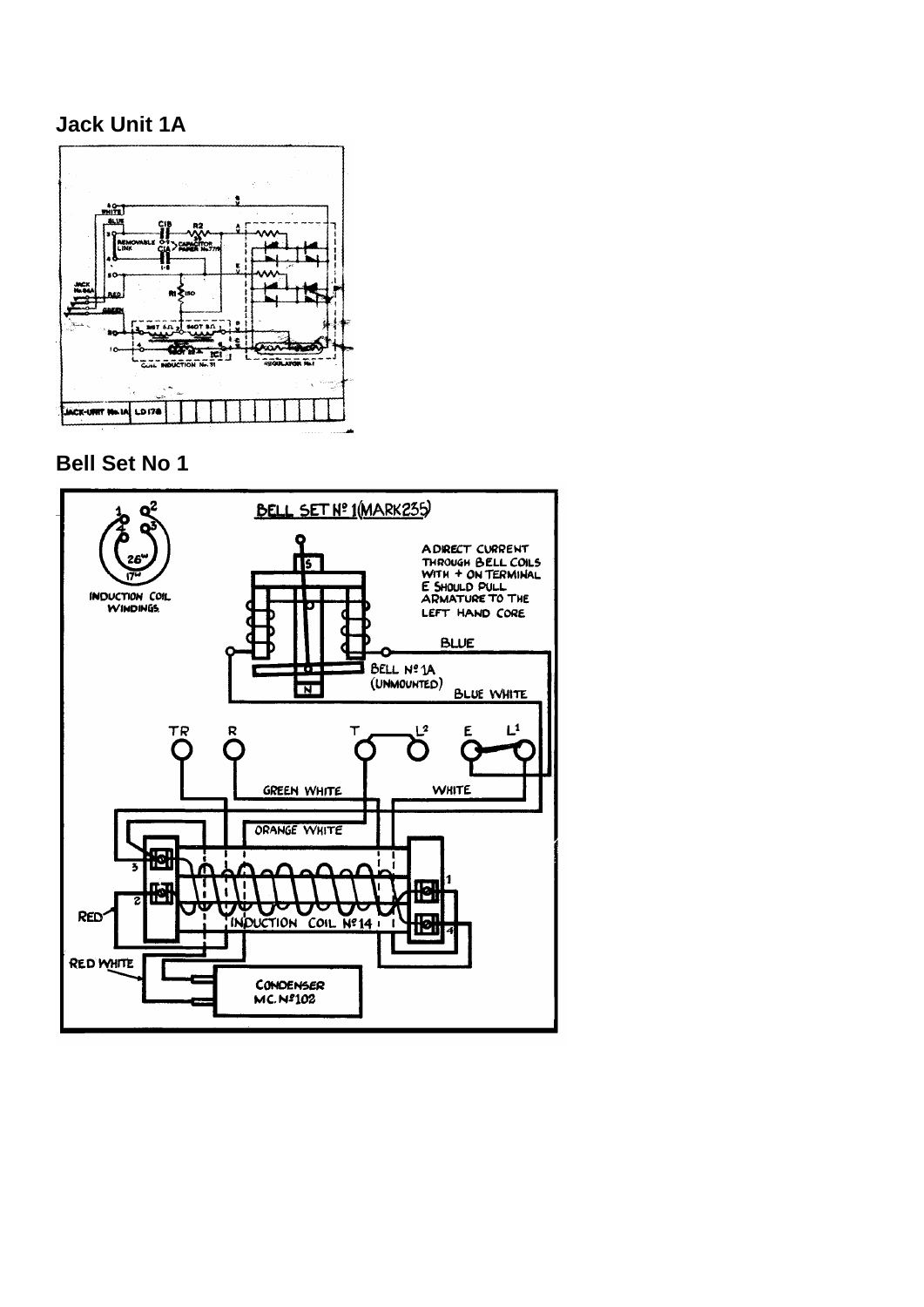#### <span id="page-11-0"></span>**Jack Unit 1A**



**Bell Set No 1** 

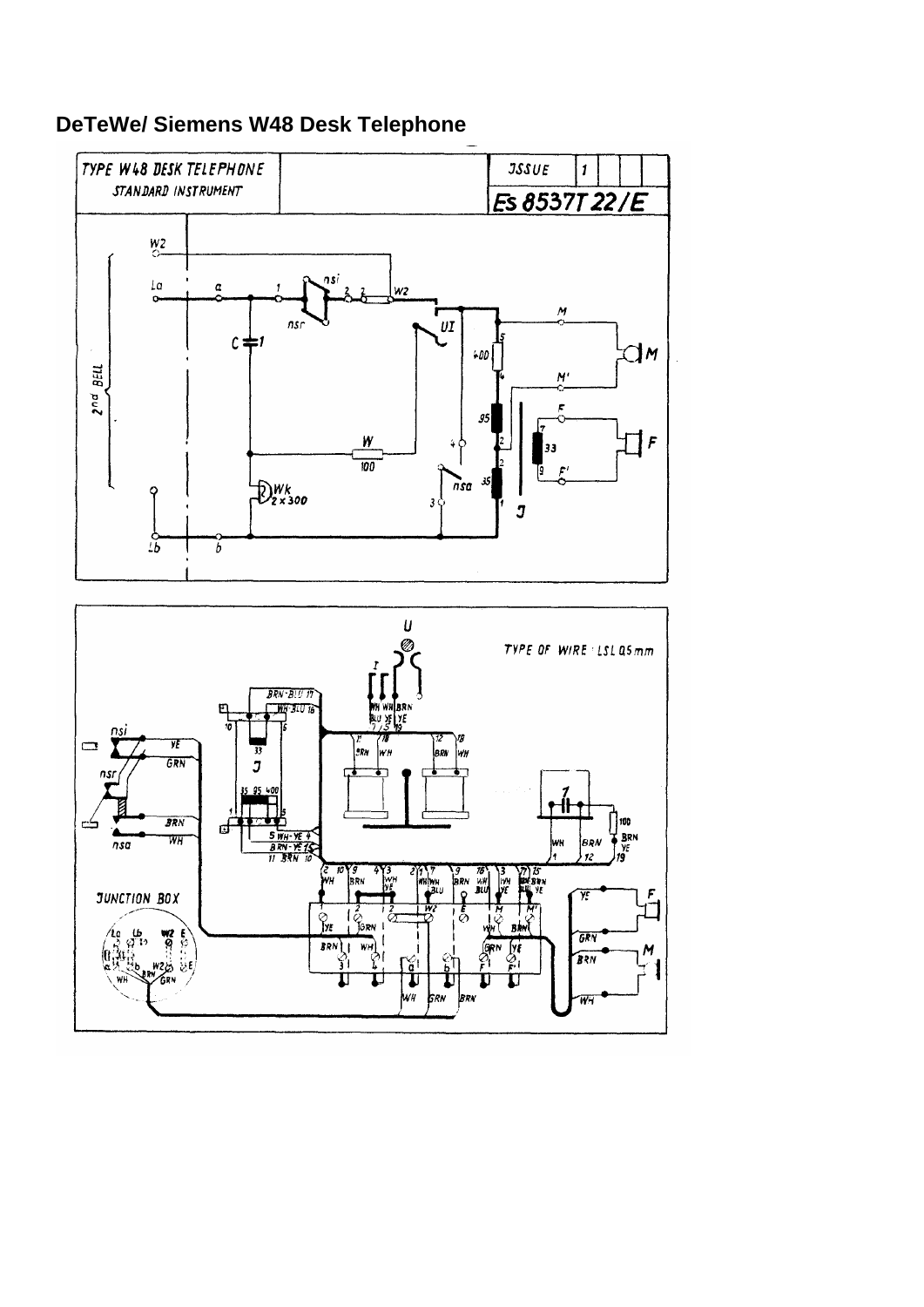

## <span id="page-12-0"></span>**DeTeWe/ Siemens W48 Desk Telephone**

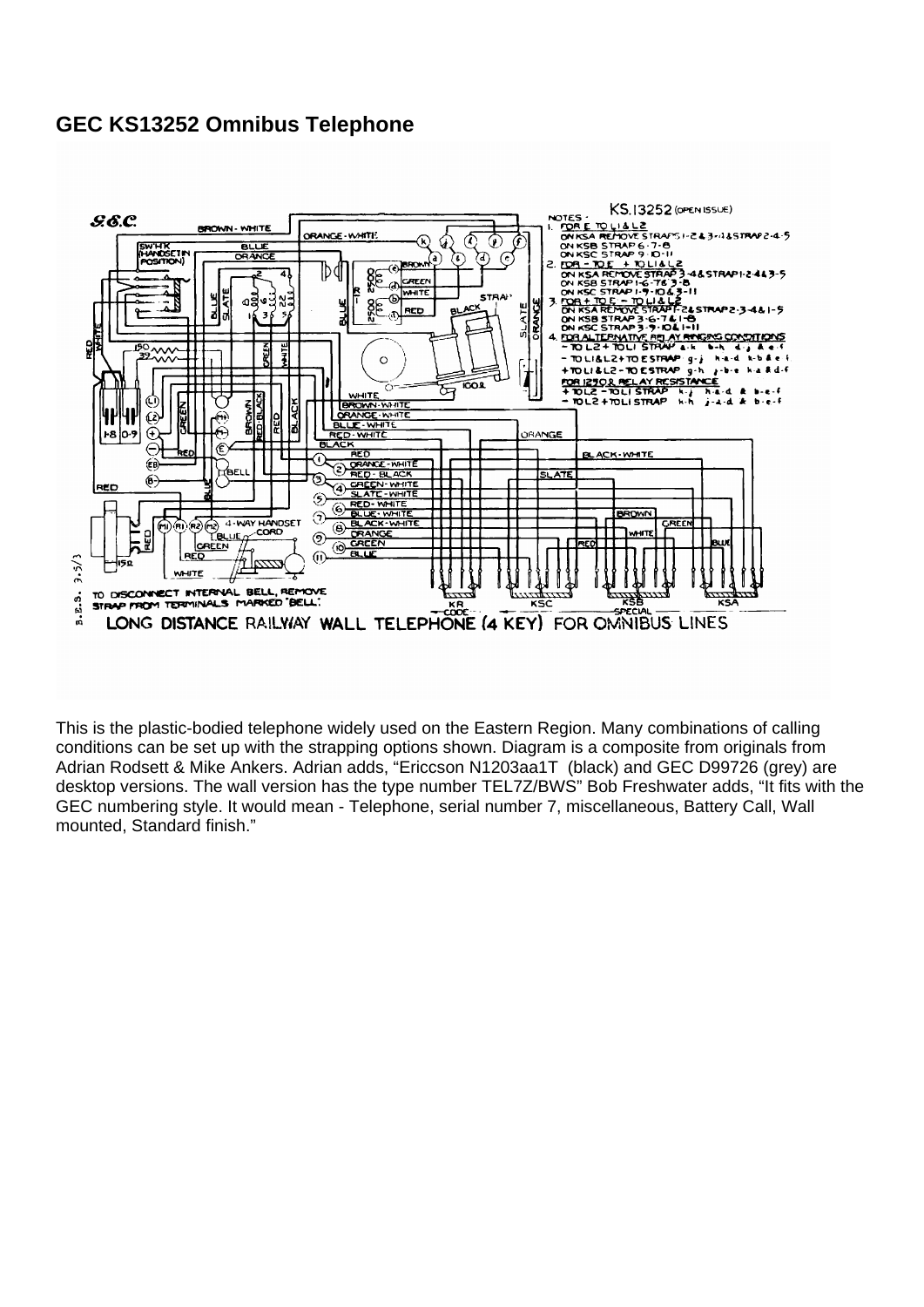#### <span id="page-13-0"></span>**GEC KS13252 Omnibus Telephone**



This is the plastic-bodied telephone widely used on the Eastern Region. Many combinations of calling conditions can be set up with the strapping options shown. Diagram is a composite from originals from Adrian Rodsett & Mike Ankers. Adrian adds, "Ericcson N1203aa1T (black) and GEC D99726 (grey) are desktop versions. The wall version has the type number TEL7Z/BWS" Bob Freshwater adds, "It fits with the GEC numbering style. It would mean - Telephone, serial number 7, miscellaneous, Battery Call, Wall mounted, Standard finish."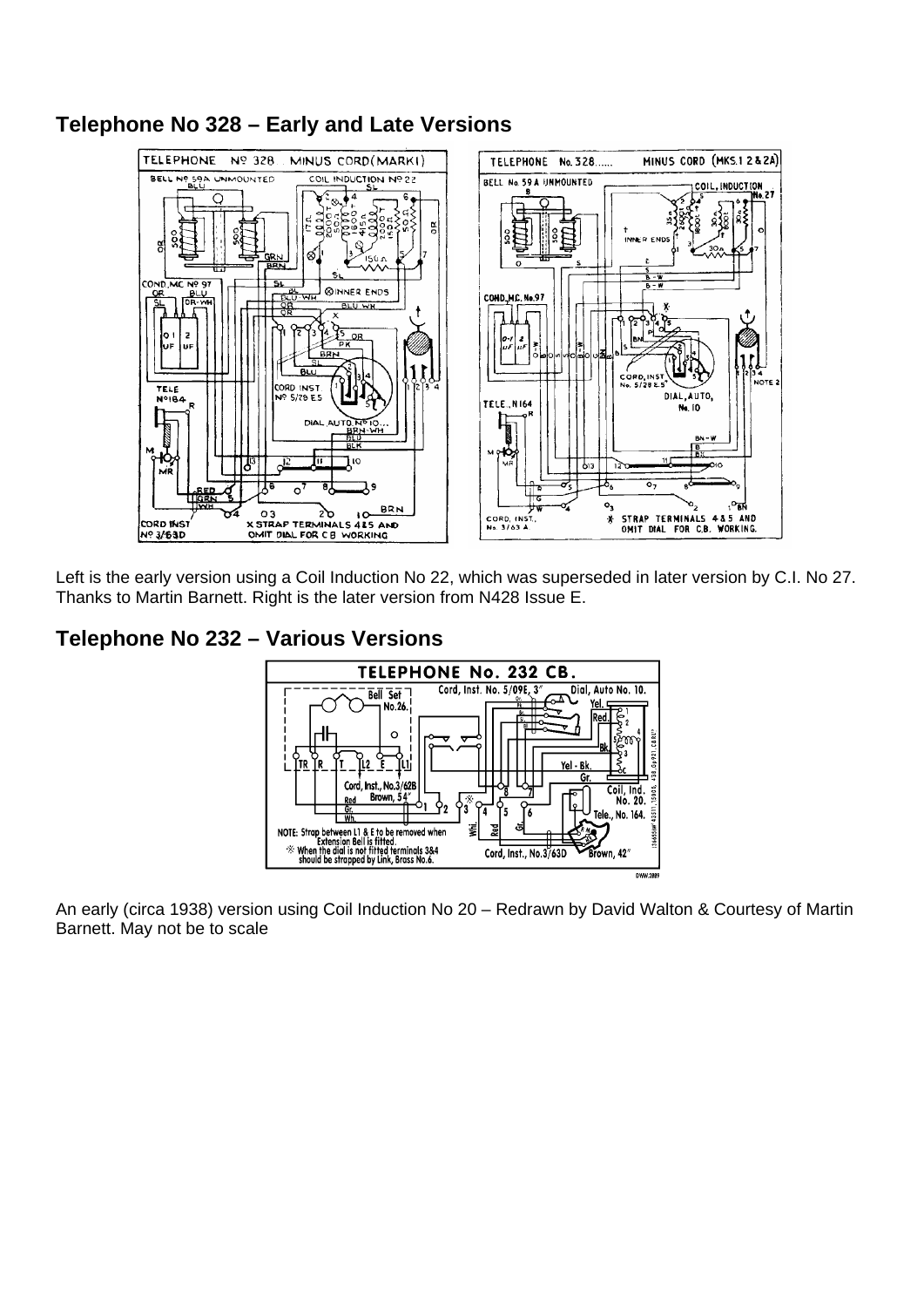

## <span id="page-14-0"></span>**Telephone No 328 – Early and Late Versions**

Left is the early version using a Coil Induction No 22, which was superseded in later version by C.I. No 27. Thanks to Martin Barnett. Right is the later version from N428 Issue E.

### **Telephone No 232 – Various Versions**



An early (circa 1938) version using Coil Induction No 20 – Redrawn by David Walton & Courtesy of Martin Barnett. May not be to scale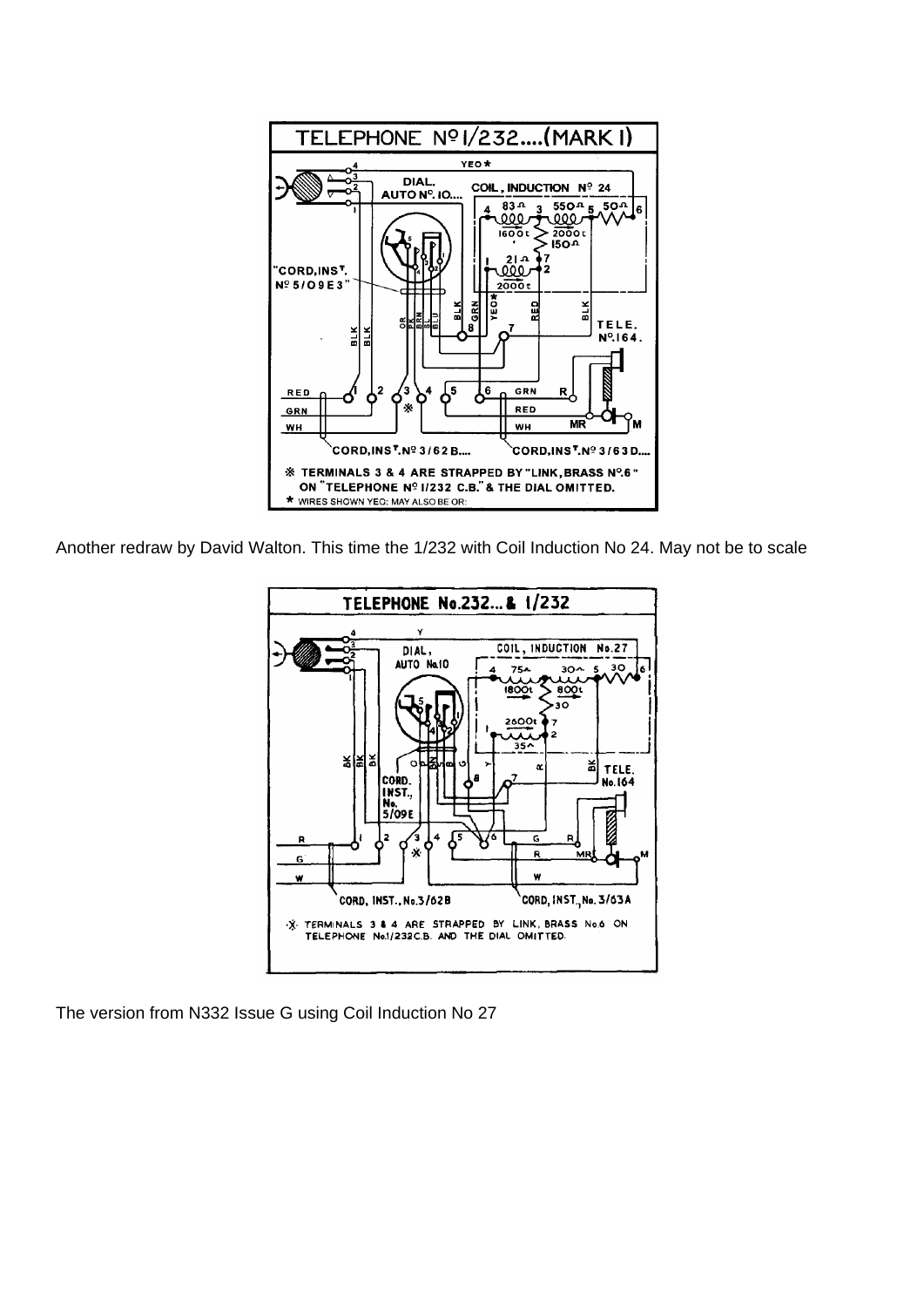

Another redraw by David Walton. This time the 1/232 with Coil Induction No 24. May not be to scale



The version from N332 Issue G using Coil Induction No 27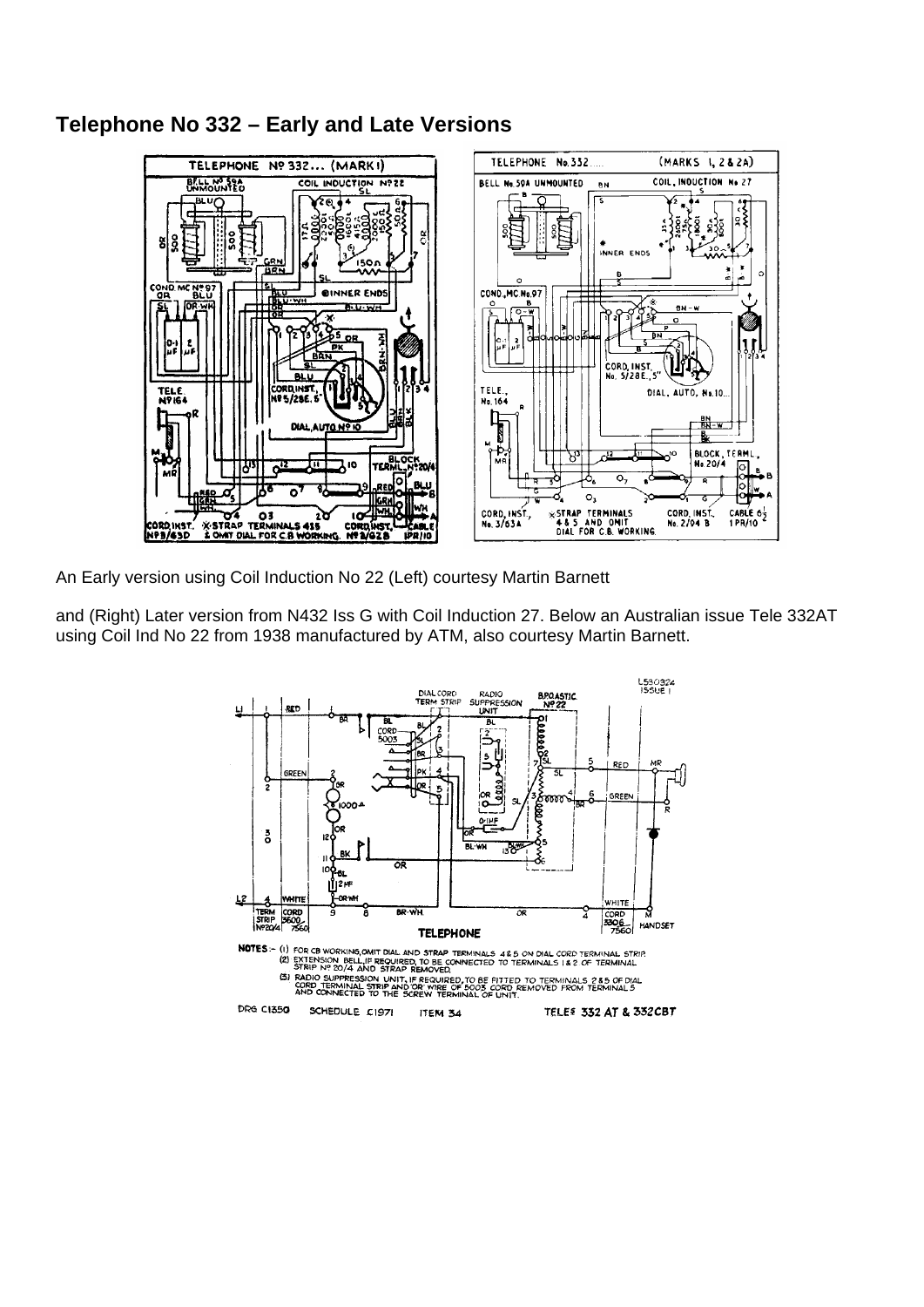#### <span id="page-16-0"></span>**Telephone No 332 – Early and Late Versions**



An Early version using Coil Induction No 22 (Left) courtesy Martin Barnett

and (Right) Later version from N432 Iss G with Coil Induction 27. Below an Australian issue Tele 332AT using Coil Ind No 22 from 1938 manufactured by ATM, also courtesy Martin Barnett.